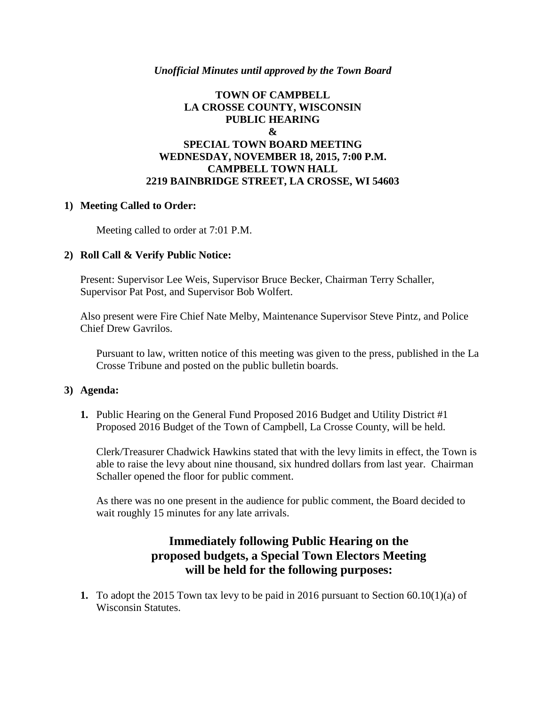#### *Unofficial Minutes until approved by the Town Board*

### **TOWN OF CAMPBELL LA CROSSE COUNTY, WISCONSIN PUBLIC HEARING & SPECIAL TOWN BOARD MEETING WEDNESDAY, NOVEMBER 18, 2015, 7:00 P.M. CAMPBELL TOWN HALL 2219 BAINBRIDGE STREET, LA CROSSE, WI 54603**

#### **1) Meeting Called to Order:**

Meeting called to order at 7:01 P.M.

#### **2) Roll Call & Verify Public Notice:**

Present: Supervisor Lee Weis, Supervisor Bruce Becker, Chairman Terry Schaller, Supervisor Pat Post, and Supervisor Bob Wolfert.

Also present were Fire Chief Nate Melby, Maintenance Supervisor Steve Pintz, and Police Chief Drew Gavrilos.

Pursuant to law, written notice of this meeting was given to the press, published in the La Crosse Tribune and posted on the public bulletin boards.

#### **3) Agenda:**

**1.** Public Hearing on the General Fund Proposed 2016 Budget and Utility District #1 Proposed 2016 Budget of the Town of Campbell, La Crosse County, will be held.

Clerk/Treasurer Chadwick Hawkins stated that with the levy limits in effect, the Town is able to raise the levy about nine thousand, six hundred dollars from last year. Chairman Schaller opened the floor for public comment.

As there was no one present in the audience for public comment, the Board decided to wait roughly 15 minutes for any late arrivals.

# **Immediately following Public Hearing on the proposed budgets, a Special Town Electors Meeting will be held for the following purposes:**

**1.** To adopt the 2015 Town tax levy to be paid in 2016 pursuant to Section 60.10(1)(a) of Wisconsin Statutes.